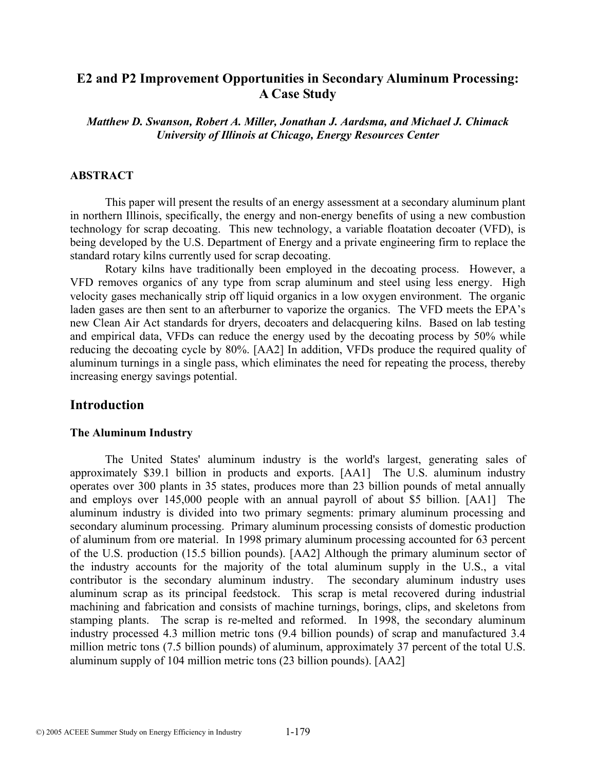# **E2 and P2 Improvement Opportunities in Secondary Aluminum Processing: A Case Study**

*Matthew D. Swanson, Robert A. Miller, Jonathan J. Aardsma, and Michael J. Chimack University of Illinois at Chicago, Energy Resources Center*

### **ABSTRACT**

 This paper will present the results of an energy assessment at a secondary aluminum plant in northern Illinois, specifically, the energy and non-energy benefits of using a new combustion technology for scrap decoating. This new technology, a variable floatation decoater (VFD), is being developed by the U.S. Department of Energy and a private engineering firm to replace the standard rotary kilns currently used for scrap decoating.

Rotary kilns have traditionally been employed in the decoating process. However, a VFD removes organics of any type from scrap aluminum and steel using less energy. High velocity gases mechanically strip off liquid organics in a low oxygen environment. The organic laden gases are then sent to an afterburner to vaporize the organics. The VFD meets the EPA's new Clean Air Act standards for dryers, decoaters and delacquering kilns. Based on lab testing and empirical data, VFDs can reduce the energy used by the decoating process by 50% while reducing the decoating cycle by 80%. [AA2] In addition, VFDs produce the required quality of aluminum turnings in a single pass, which eliminates the need for repeating the process, thereby increasing energy savings potential.

## **Introduction**

#### **The Aluminum Industry**

 The United States' aluminum industry is the world's largest, generating sales of approximately \$39.1 billion in products and exports. [AA1] The U.S. aluminum industry operates over 300 plants in 35 states, produces more than 23 billion pounds of metal annually and employs over 145,000 people with an annual payroll of about \$5 billion. [AA1] The aluminum industry is divided into two primary segments: primary aluminum processing and secondary aluminum processing. Primary aluminum processing consists of domestic production of aluminum from ore material. In 1998 primary aluminum processing accounted for 63 percent of the U.S. production (15.5 billion pounds). [AA2] Although the primary aluminum sector of the industry accounts for the majority of the total aluminum supply in the U.S., a vital contributor is the secondary aluminum industry. The secondary aluminum industry uses aluminum scrap as its principal feedstock. This scrap is metal recovered during industrial machining and fabrication and consists of machine turnings, borings, clips, and skeletons from stamping plants. The scrap is re-melted and reformed. In 1998, the secondary aluminum industry processed 4.3 million metric tons (9.4 billion pounds) of scrap and manufactured 3.4 million metric tons (7.5 billion pounds) of aluminum, approximately 37 percent of the total U.S. aluminum supply of 104 million metric tons (23 billion pounds). [AA2]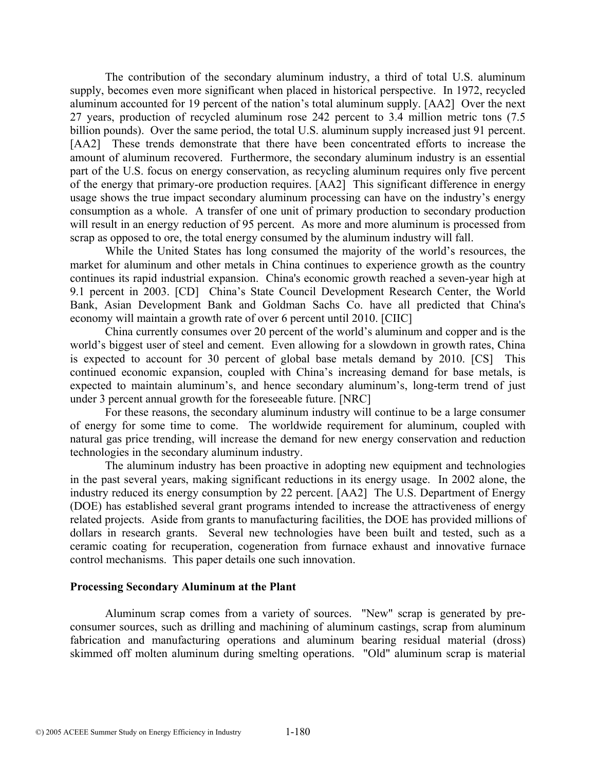The contribution of the secondary aluminum industry, a third of total U.S. aluminum supply, becomes even more significant when placed in historical perspective. In 1972, recycled aluminum accounted for 19 percent of the nation's total aluminum supply. [AA2] Over the next 27 years, production of recycled aluminum rose 242 percent to 3.4 million metric tons (7.5 billion pounds). Over the same period, the total U.S. aluminum supply increased just 91 percent. [AA2] These trends demonstrate that there have been concentrated efforts to increase the amount of aluminum recovered. Furthermore, the secondary aluminum industry is an essential part of the U.S. focus on energy conservation, as recycling aluminum requires only five percent of the energy that primary-ore production requires. [AA2] This significant difference in energy usage shows the true impact secondary aluminum processing can have on the industry's energy consumption as a whole. A transfer of one unit of primary production to secondary production will result in an energy reduction of 95 percent. As more and more aluminum is processed from scrap as opposed to ore, the total energy consumed by the aluminum industry will fall.

 While the United States has long consumed the majority of the world's resources, the market for aluminum and other metals in China continues to experience growth as the country continues its rapid industrial expansion. China's economic growth reached a seven-year high at 9.1 percent in 2003. [CD] China's State Council Development Research Center, the World Bank, Asian Development Bank and Goldman Sachs Co. have all predicted that China's economy will maintain a growth rate of over 6 percent until 2010. [CIIC]

China currently consumes over 20 percent of the world's aluminum and copper and is the world's biggest user of steel and cement. Even allowing for a slowdown in growth rates, China is expected to account for 30 percent of global base metals demand by 2010. [CS] This continued economic expansion, coupled with China's increasing demand for base metals, is expected to maintain aluminum's, and hence secondary aluminum's, long-term trend of just under 3 percent annual growth for the foreseeable future. [NRC]

For these reasons, the secondary aluminum industry will continue to be a large consumer of energy for some time to come. The worldwide requirement for aluminum, coupled with natural gas price trending, will increase the demand for new energy conservation and reduction technologies in the secondary aluminum industry.

 The aluminum industry has been proactive in adopting new equipment and technologies in the past several years, making significant reductions in its energy usage. In 2002 alone, the industry reduced its energy consumption by 22 percent. [AA2] The U.S. Department of Energy (DOE) has established several grant programs intended to increase the attractiveness of energy related projects. Aside from grants to manufacturing facilities, the DOE has provided millions of dollars in research grants. Several new technologies have been built and tested, such as a ceramic coating for recuperation, cogeneration from furnace exhaust and innovative furnace control mechanisms. This paper details one such innovation.

#### **Processing Secondary Aluminum at the Plant**

Aluminum scrap comes from a variety of sources. "New" scrap is generated by preconsumer sources, such as drilling and machining of aluminum castings, scrap from aluminum fabrication and manufacturing operations and aluminum bearing residual material (dross) skimmed off molten aluminum during smelting operations. "Old" aluminum scrap is material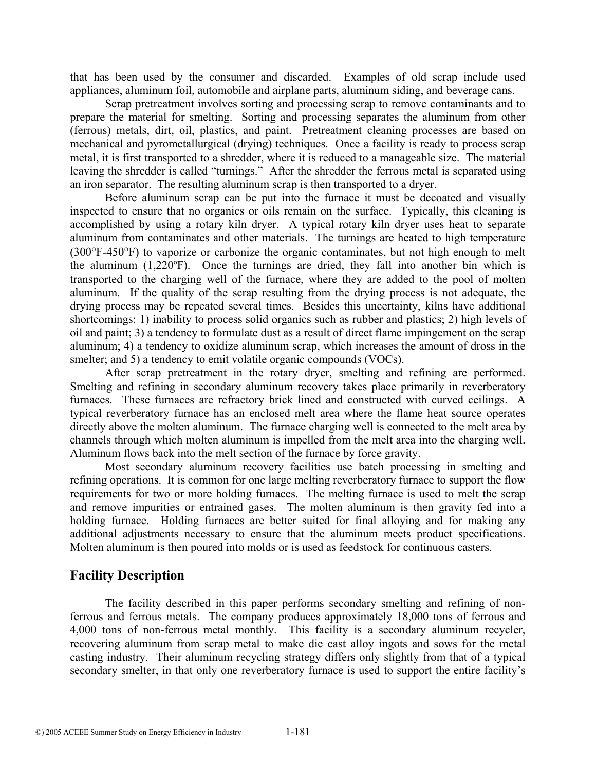that has been used by the consumer and discarded. Examples of old scrap include used appliances, aluminum foil, automobile and airplane parts, aluminum siding, and beverage cans.

 Scrap pretreatment involves sorting and processing scrap to remove contaminants and to prepare the material for smelting. Sorting and processing separates the aluminum from other (ferrous) metals, dirt, oil, plastics, and paint. Pretreatment cleaning processes are based on mechanical and pyrometallurgical (drying) techniques. Once a facility is ready to process scrap metal, it is first transported to a shredder, where it is reduced to a manageable size. The material leaving the shredder is called "turnings." After the shredder the ferrous metal is separated using an iron separator. The resulting aluminum scrap is then transported to a dryer.

 Before aluminum scrap can be put into the furnace it must be decoated and visually inspected to ensure that no organics or oils remain on the surface. Typically, this cleaning is accomplished by using a rotary kiln dryer. A typical rotary kiln dryer uses heat to separate aluminum from contaminates and other materials. The turnings are heated to high temperature (300°F-450°F) to vaporize or carbonize the organic contaminates, but not high enough to melt the aluminum (1,220ºF). Once the turnings are dried, they fall into another bin which is transported to the charging well of the furnace, where they are added to the pool of molten aluminum. If the quality of the scrap resulting from the drying process is not adequate, the drying process may be repeated several times. Besides this uncertainty, kilns have additional shortcomings: 1) inability to process solid organics such as rubber and plastics; 2) high levels of oil and paint; 3) a tendency to formulate dust as a result of direct flame impingement on the scrap aluminum; 4) a tendency to oxidize aluminum scrap, which increases the amount of dross in the smelter; and 5) a tendency to emit volatile organic compounds (VOCs).

 After scrap pretreatment in the rotary dryer, smelting and refining are performed. Smelting and refining in secondary aluminum recovery takes place primarily in reverberatory furnaces. These furnaces are refractory brick lined and constructed with curved ceilings. A typical reverberatory furnace has an enclosed melt area where the flame heat source operates directly above the molten aluminum. The furnace charging well is connected to the melt area by channels through which molten aluminum is impelled from the melt area into the charging well. Aluminum flows back into the melt section of the furnace by force gravity.

 Most secondary aluminum recovery facilities use batch processing in smelting and refining operations. It is common for one large melting reverberatory furnace to support the flow requirements for two or more holding furnaces. The melting furnace is used to melt the scrap and remove impurities or entrained gases. The molten aluminum is then gravity fed into a holding furnace. Holding furnaces are better suited for final alloying and for making any additional adjustments necessary to ensure that the aluminum meets product specifications. Molten aluminum is then poured into molds or is used as feedstock for continuous casters.

## **Facility Description**

 The facility described in this paper performs secondary smelting and refining of nonferrous and ferrous metals. The company produces approximately 18,000 tons of ferrous and 4,000 tons of non-ferrous metal monthly. This facility is a secondary aluminum recycler, recovering aluminum from scrap metal to make die cast alloy ingots and sows for the metal casting industry. Their aluminum recycling strategy differs only slightly from that of a typical secondary smelter, in that only one reverberatory furnace is used to support the entire facility's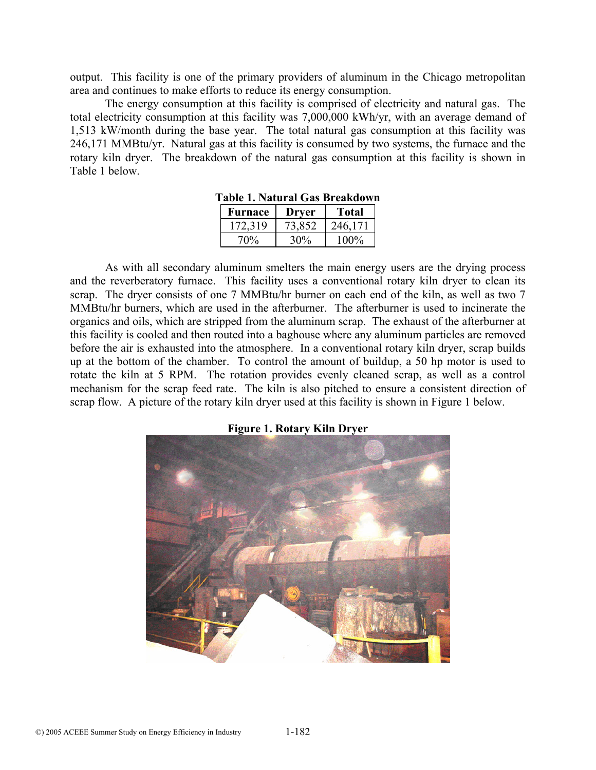output. This facility is one of the primary providers of aluminum in the Chicago metropolitan area and continues to make efforts to reduce its energy consumption.

 The energy consumption at this facility is comprised of electricity and natural gas. The total electricity consumption at this facility was 7,000,000 kWh/yr, with an average demand of 1,513 kW/month during the base year. The total natural gas consumption at this facility was 246,171 MMBtu/yr. Natural gas at this facility is consumed by two systems, the furnace and the rotary kiln dryer. The breakdown of the natural gas consumption at this facility is shown in Table 1 below.

| Furnace | Drver  | <b>Total</b> |
|---------|--------|--------------|
| 172.319 | 73,852 | 246,171      |
| 70%     | 30%    | $100\%$      |

| Table 1. Natural Gas Breakdown |
|--------------------------------|
|--------------------------------|

 As with all secondary aluminum smelters the main energy users are the drying process and the reverberatory furnace. This facility uses a conventional rotary kiln dryer to clean its scrap. The dryer consists of one 7 MMBtu/hr burner on each end of the kiln, as well as two 7 MMBtu/hr burners, which are used in the afterburner. The afterburner is used to incinerate the organics and oils, which are stripped from the aluminum scrap. The exhaust of the afterburner at this facility is cooled and then routed into a baghouse where any aluminum particles are removed before the air is exhausted into the atmosphere. In a conventional rotary kiln dryer, scrap builds up at the bottom of the chamber. To control the amount of buildup, a 50 hp motor is used to rotate the kiln at 5 RPM. The rotation provides evenly cleaned scrap, as well as a control mechanism for the scrap feed rate. The kiln is also pitched to ensure a consistent direction of scrap flow. A picture of the rotary kiln dryer used at this facility is shown in Figure 1 below.



**Figure 1. Rotary Kiln Dryer**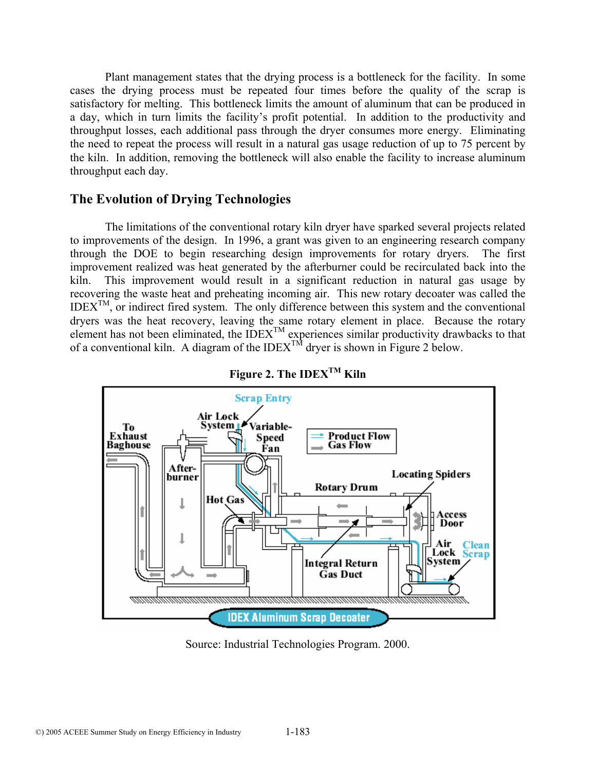Plant management states that the drying process is a bottleneck for the facility. In some cases the drying process must be repeated four times before the quality of the scrap is satisfactory for melting. This bottleneck limits the amount of aluminum that can be produced in a day, which in turn limits the facility's profit potential. In addition to the productivity and throughput losses, each additional pass through the dryer consumes more energy. Eliminating the need to repeat the process will result in a natural gas usage reduction of up to 75 percent by the kiln. In addition, removing the bottleneck will also enable the facility to increase aluminum throughput each day.

# **The Evolution of Drying Technologies**

 The limitations of the conventional rotary kiln dryer have sparked several projects related to improvements of the design. In 1996, a grant was given to an engineering research company through the DOE to begin researching design improvements for rotary dryers. The first improvement realized was heat generated by the afterburner could be recirculated back into the kiln. This improvement would result in a significant reduction in natural gas usage by recovering the waste heat and preheating incoming air. This new rotary decoater was called the  $\text{IDEX}^{\text{TM}}$ , or indirect fired system. The only difference between this system and the conventional dryers was the heat recovery, leaving the same rotary element in place. Because the rotary element has not been eliminated, the  $\text{IDEX}^{\text{TM}}$  experiences similar productivity drawbacks to that of a conventional kiln. A diagram of the IDEX<sup>TM</sup> dryer is shown in Figure 2 below.





Source: Industrial Technologies Program. 2000.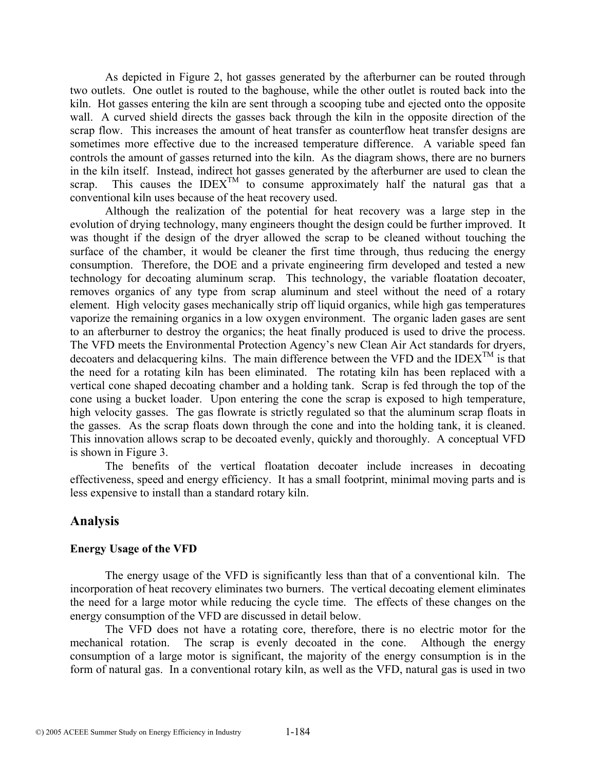As depicted in Figure 2, hot gasses generated by the afterburner can be routed through two outlets. One outlet is routed to the baghouse, while the other outlet is routed back into the kiln. Hot gasses entering the kiln are sent through a scooping tube and ejected onto the opposite wall. A curved shield directs the gasses back through the kiln in the opposite direction of the scrap flow. This increases the amount of heat transfer as counterflow heat transfer designs are sometimes more effective due to the increased temperature difference. A variable speed fan controls the amount of gasses returned into the kiln. As the diagram shows, there are no burners in the kiln itself. Instead, indirect hot gasses generated by the afterburner are used to clean the scrap. This causes the IDEX<sup>TM</sup> to consume approximately half the natural gas that a conventional kiln uses because of the heat recovery used.

 Although the realization of the potential for heat recovery was a large step in the evolution of drying technology, many engineers thought the design could be further improved. It was thought if the design of the dryer allowed the scrap to be cleaned without touching the surface of the chamber, it would be cleaner the first time through, thus reducing the energy consumption. Therefore, the DOE and a private engineering firm developed and tested a new technology for decoating aluminum scrap. This technology, the variable floatation decoater, removes organics of any type from scrap aluminum and steel without the need of a rotary element. High velocity gases mechanically strip off liquid organics, while high gas temperatures vaporize the remaining organics in a low oxygen environment. The organic laden gases are sent to an afterburner to destroy the organics; the heat finally produced is used to drive the process. The VFD meets the Environmental Protection Agency's new Clean Air Act standards for dryers, decoaters and delacquering kilns. The main difference between the VFD and the IDEX<sup>TM</sup> is that the need for a rotating kiln has been eliminated. The rotating kiln has been replaced with a vertical cone shaped decoating chamber and a holding tank. Scrap is fed through the top of the cone using a bucket loader. Upon entering the cone the scrap is exposed to high temperature, high velocity gasses. The gas flowrate is strictly regulated so that the aluminum scrap floats in the gasses. As the scrap floats down through the cone and into the holding tank, it is cleaned. This innovation allows scrap to be decoated evenly, quickly and thoroughly. A conceptual VFD is shown in Figure 3.

The benefits of the vertical floatation decoater include increases in decoating effectiveness, speed and energy efficiency. It has a small footprint, minimal moving parts and is less expensive to install than a standard rotary kiln.

# **Analysis**

#### **Energy Usage of the VFD**

 The energy usage of the VFD is significantly less than that of a conventional kiln. The incorporation of heat recovery eliminates two burners. The vertical decoating element eliminates the need for a large motor while reducing the cycle time. The effects of these changes on the energy consumption of the VFD are discussed in detail below.

The VFD does not have a rotating core, therefore, there is no electric motor for the mechanical rotation. The scrap is evenly decoated in the cone. Although the energy consumption of a large motor is significant, the majority of the energy consumption is in the form of natural gas. In a conventional rotary kiln, as well as the VFD, natural gas is used in two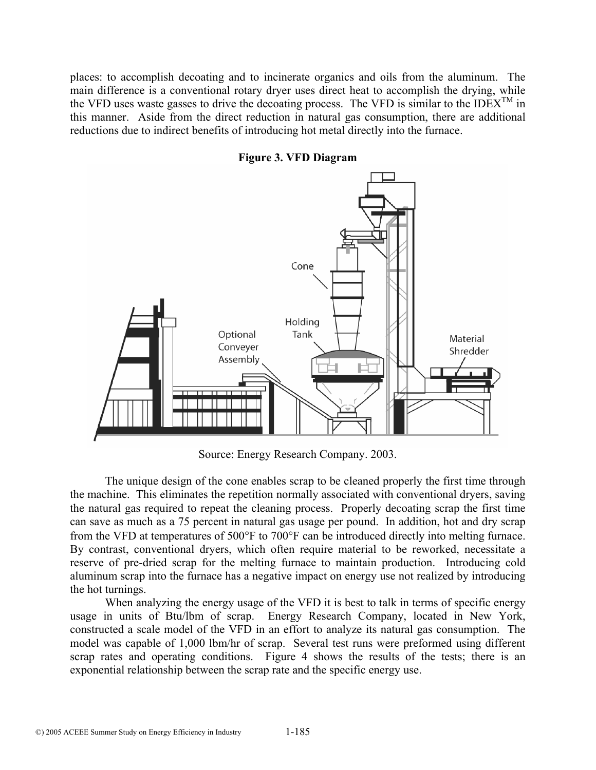places: to accomplish decoating and to incinerate organics and oils from the aluminum. The main difference is a conventional rotary dryer uses direct heat to accomplish the drying, while the VFD uses waste gasses to drive the decoating process. The VFD is similar to the IDEX<sup>TM</sup> in this manner. Aside from the direct reduction in natural gas consumption, there are additional reductions due to indirect benefits of introducing hot metal directly into the furnace.



**Figure 3. VFD Diagram** 

Source: Energy Research Company. 2003.

 The unique design of the cone enables scrap to be cleaned properly the first time through the machine. This eliminates the repetition normally associated with conventional dryers, saving the natural gas required to repeat the cleaning process. Properly decoating scrap the first time can save as much as a 75 percent in natural gas usage per pound. In addition, hot and dry scrap from the VFD at temperatures of 500°F to 700°F can be introduced directly into melting furnace. By contrast, conventional dryers, which often require material to be reworked, necessitate a reserve of pre-dried scrap for the melting furnace to maintain production. Introducing cold aluminum scrap into the furnace has a negative impact on energy use not realized by introducing the hot turnings.

When analyzing the energy usage of the VFD it is best to talk in terms of specific energy usage in units of Btu/lbm of scrap. Energy Research Company, located in New York, constructed a scale model of the VFD in an effort to analyze its natural gas consumption. The model was capable of 1,000 lbm/hr of scrap. Several test runs were preformed using different scrap rates and operating conditions. Figure 4 shows the results of the tests; there is an exponential relationship between the scrap rate and the specific energy use.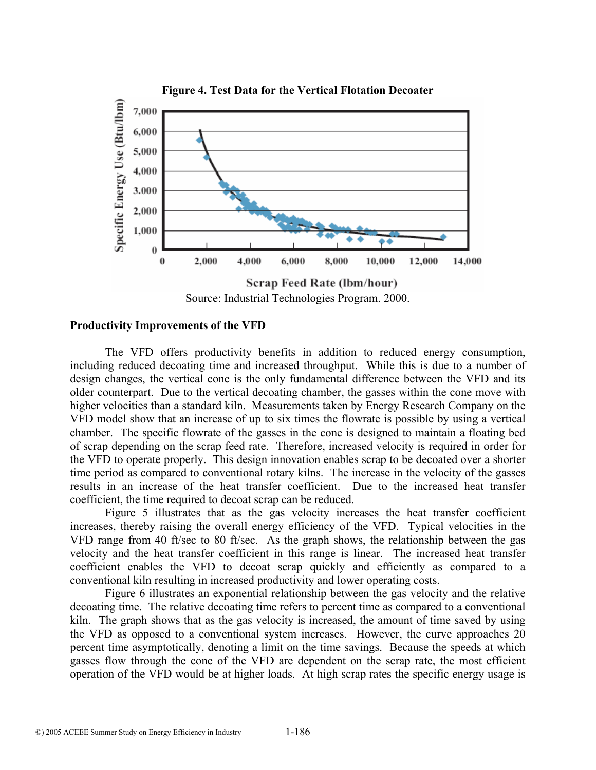

Source: Industrial Technologies Program. 2000.

#### **Productivity Improvements of the VFD**

 The VFD offers productivity benefits in addition to reduced energy consumption, including reduced decoating time and increased throughput. While this is due to a number of design changes, the vertical cone is the only fundamental difference between the VFD and its older counterpart. Due to the vertical decoating chamber, the gasses within the cone move with higher velocities than a standard kiln. Measurements taken by Energy Research Company on the VFD model show that an increase of up to six times the flowrate is possible by using a vertical chamber. The specific flowrate of the gasses in the cone is designed to maintain a floating bed of scrap depending on the scrap feed rate. Therefore, increased velocity is required in order for the VFD to operate properly. This design innovation enables scrap to be decoated over a shorter time period as compared to conventional rotary kilns. The increase in the velocity of the gasses results in an increase of the heat transfer coefficient. Due to the increased heat transfer coefficient, the time required to decoat scrap can be reduced.

Figure 5 illustrates that as the gas velocity increases the heat transfer coefficient increases, thereby raising the overall energy efficiency of the VFD. Typical velocities in the VFD range from 40 ft/sec to 80 ft/sec. As the graph shows, the relationship between the gas velocity and the heat transfer coefficient in this range is linear. The increased heat transfer coefficient enables the VFD to decoat scrap quickly and efficiently as compared to a conventional kiln resulting in increased productivity and lower operating costs.

Figure 6 illustrates an exponential relationship between the gas velocity and the relative decoating time. The relative decoating time refers to percent time as compared to a conventional kiln. The graph shows that as the gas velocity is increased, the amount of time saved by using the VFD as opposed to a conventional system increases. However, the curve approaches 20 percent time asymptotically, denoting a limit on the time savings. Because the speeds at which gasses flow through the cone of the VFD are dependent on the scrap rate, the most efficient operation of the VFD would be at higher loads. At high scrap rates the specific energy usage is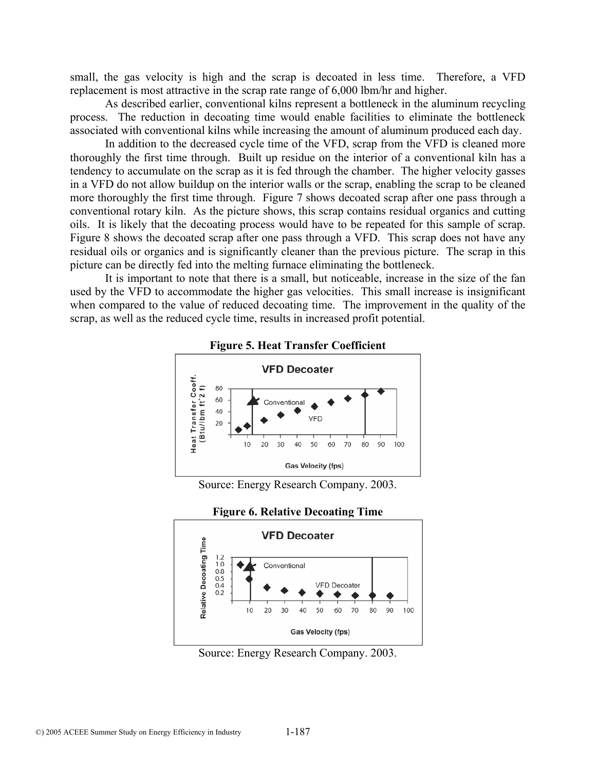small, the gas velocity is high and the scrap is decoated in less time. Therefore, a VFD replacement is most attractive in the scrap rate range of 6,000 lbm/hr and higher.

As described earlier, conventional kilns represent a bottleneck in the aluminum recycling process. The reduction in decoating time would enable facilities to eliminate the bottleneck associated with conventional kilns while increasing the amount of aluminum produced each day.

 In addition to the decreased cycle time of the VFD, scrap from the VFD is cleaned more thoroughly the first time through. Built up residue on the interior of a conventional kiln has a tendency to accumulate on the scrap as it is fed through the chamber. The higher velocity gasses in a VFD do not allow buildup on the interior walls or the scrap, enabling the scrap to be cleaned more thoroughly the first time through. Figure 7 shows decoated scrap after one pass through a conventional rotary kiln. As the picture shows, this scrap contains residual organics and cutting oils. It is likely that the decoating process would have to be repeated for this sample of scrap. Figure 8 shows the decoated scrap after one pass through a VFD. This scrap does not have any residual oils or organics and is significantly cleaner than the previous picture. The scrap in this picture can be directly fed into the melting furnace eliminating the bottleneck.

It is important to note that there is a small, but noticeable, increase in the size of the fan used by the VFD to accommodate the higher gas velocities. This small increase is insignificant when compared to the value of reduced decoating time. The improvement in the quality of the scrap, as well as the reduced cycle time, results in increased profit potential.



**Figure 5. Heat Transfer Coefficient** 

Source: Energy Research Company. 2003.



Source: Energy Research Company. 2003.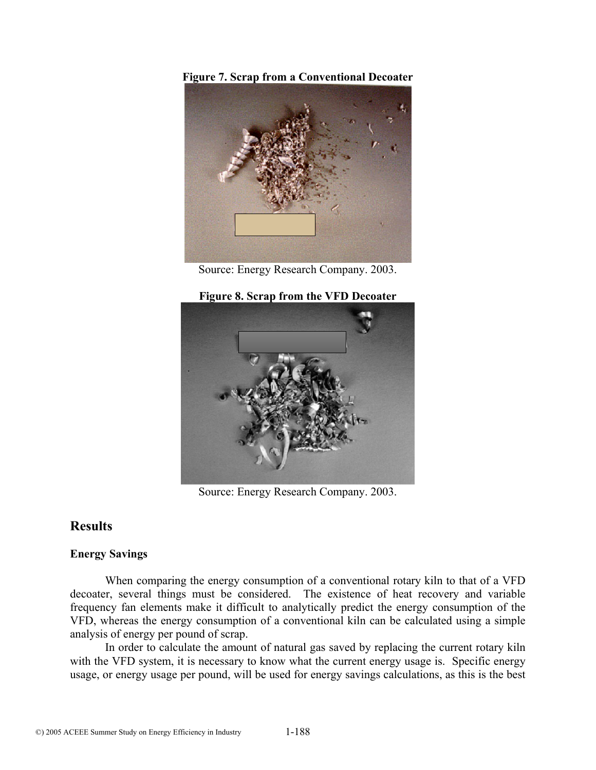**Figure 7. Scrap from a Conventional Decoater** 



Source: Energy Research Company. 2003.

## **Figure 8. Scrap from the VFD Decoater**



Source: Energy Research Company. 2003.

# **Results**

# **Energy Savings**

When comparing the energy consumption of a conventional rotary kiln to that of a VFD decoater, several things must be considered. The existence of heat recovery and variable frequency fan elements make it difficult to analytically predict the energy consumption of the VFD, whereas the energy consumption of a conventional kiln can be calculated using a simple analysis of energy per pound of scrap.

 In order to calculate the amount of natural gas saved by replacing the current rotary kiln with the VFD system, it is necessary to know what the current energy usage is. Specific energy usage, or energy usage per pound, will be used for energy savings calculations, as this is the best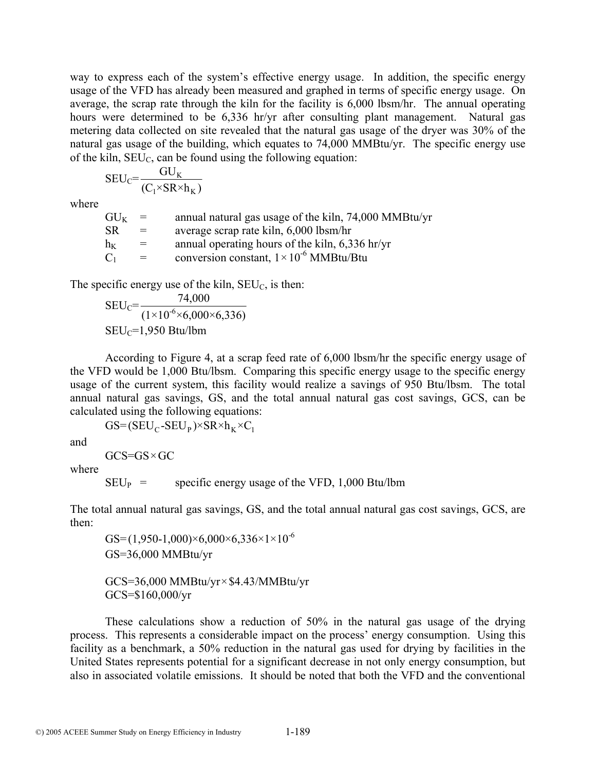way to express each of the system's effective energy usage. In addition, the specific energy usage of the VFD has already been measured and graphed in terms of specific energy usage. On average, the scrap rate through the kiln for the facility is 6,000 lbsm/hr. The annual operating hours were determined to be 6,336 hr/yr after consulting plant management. Natural gas metering data collected on site revealed that the natural gas usage of the dryer was 30% of the natural gas usage of the building, which equates to 74,000 MMBtu/yr. The specific energy use of the kiln,  $SEU_C$ , can be found using the following equation:

$$
SEU_C = \frac{GU_K}{(C_1 \times SR \times h_K)}
$$

where

| $\mathrm{GL}_{K}$ | $=$ | annual natural gas usage of the kiln, 74,000 MMBtu/yr |
|-------------------|-----|-------------------------------------------------------|
| SR                | $=$ | average scrap rate kiln, 6,000 lbsm/hr                |
| $h_K$             | $=$ | annual operating hours of the kiln, 6,336 hr/yr       |
| $\mathbf{C}_1$    | $=$ | conversion constant, $1 \times 10^{-6}$ MMBtu/Btu     |

The specific energy use of the kiln,  $SEU_C$ , is then:

$$
SEU_C = \frac{74,000}{(1 \times 10^{-6} \times 6,000 \times 6,336)}
$$
  
SEU<sub>C</sub>=1,950 Btu/lbm

 According to Figure 4, at a scrap feed rate of 6,000 lbsm/hr the specific energy usage of the VFD would be 1,000 Btu/lbsm. Comparing this specific energy usage to the specific energy usage of the current system, this facility would realize a savings of 950 Btu/lbsm. The total annual natural gas savings, GS, and the total annual natural gas cost savings, GCS, can be calculated using the following equations:

 $GS = (SEU_C - SEU_P) \times SR \times h_K \times C_1$ 

and

 $GCS = GS \times GC$ 

where

 $SEU<sub>P</sub>$  = specific energy usage of the VFD, 1,000 Btu/lbm

The total annual natural gas savings, GS, and the total annual natural gas cost savings, GCS, are then:

GS= $(1,950-1,000)\times 6,000\times 6,336\times 1\times 10^{-6}$ GS=36,000 MMBtu/yr

 GCS=36,000 MMBtu/yr×\$4.43/MMBtu/yr GCS=\$160,000/yr

 These calculations show a reduction of 50% in the natural gas usage of the drying process. This represents a considerable impact on the process' energy consumption. Using this facility as a benchmark, a 50% reduction in the natural gas used for drying by facilities in the United States represents potential for a significant decrease in not only energy consumption, but also in associated volatile emissions. It should be noted that both the VFD and the conventional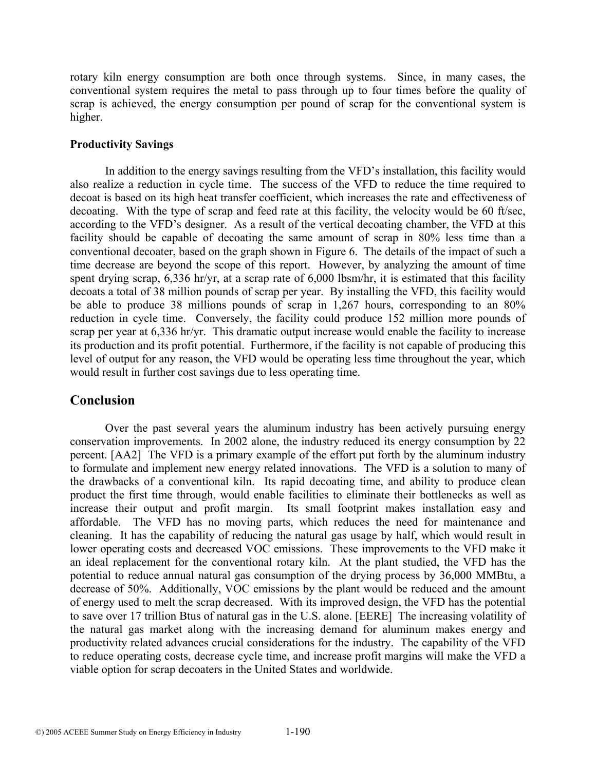rotary kiln energy consumption are both once through systems. Since, in many cases, the conventional system requires the metal to pass through up to four times before the quality of scrap is achieved, the energy consumption per pound of scrap for the conventional system is higher.

### **Productivity Savings**

 In addition to the energy savings resulting from the VFD's installation, this facility would also realize a reduction in cycle time. The success of the VFD to reduce the time required to decoat is based on its high heat transfer coefficient, which increases the rate and effectiveness of decoating. With the type of scrap and feed rate at this facility, the velocity would be 60 ft/sec, according to the VFD's designer. As a result of the vertical decoating chamber, the VFD at this facility should be capable of decoating the same amount of scrap in 80% less time than a conventional decoater, based on the graph shown in Figure 6. The details of the impact of such a time decrease are beyond the scope of this report. However, by analyzing the amount of time spent drying scrap, 6,336 hr/yr, at a scrap rate of 6,000 lbsm/hr, it is estimated that this facility decoats a total of 38 million pounds of scrap per year. By installing the VFD, this facility would be able to produce 38 millions pounds of scrap in 1,267 hours, corresponding to an 80% reduction in cycle time. Conversely, the facility could produce 152 million more pounds of scrap per year at 6,336 hr/yr. This dramatic output increase would enable the facility to increase its production and its profit potential. Furthermore, if the facility is not capable of producing this level of output for any reason, the VFD would be operating less time throughout the year, which would result in further cost savings due to less operating time.

# **Conclusion**

 Over the past several years the aluminum industry has been actively pursuing energy conservation improvements. In 2002 alone, the industry reduced its energy consumption by 22 percent. [AA2] The VFD is a primary example of the effort put forth by the aluminum industry to formulate and implement new energy related innovations. The VFD is a solution to many of the drawbacks of a conventional kiln. Its rapid decoating time, and ability to produce clean product the first time through, would enable facilities to eliminate their bottlenecks as well as increase their output and profit margin. Its small footprint makes installation easy and affordable. The VFD has no moving parts, which reduces the need for maintenance and cleaning. It has the capability of reducing the natural gas usage by half, which would result in lower operating costs and decreased VOC emissions. These improvements to the VFD make it an ideal replacement for the conventional rotary kiln. At the plant studied, the VFD has the potential to reduce annual natural gas consumption of the drying process by 36,000 MMBtu, a decrease of 50%. Additionally, VOC emissions by the plant would be reduced and the amount of energy used to melt the scrap decreased. With its improved design, the VFD has the potential to save over 17 trillion Btus of natural gas in the U.S. alone. [EERE] The increasing volatility of the natural gas market along with the increasing demand for aluminum makes energy and productivity related advances crucial considerations for the industry. The capability of the VFD to reduce operating costs, decrease cycle time, and increase profit margins will make the VFD a viable option for scrap decoaters in the United States and worldwide.